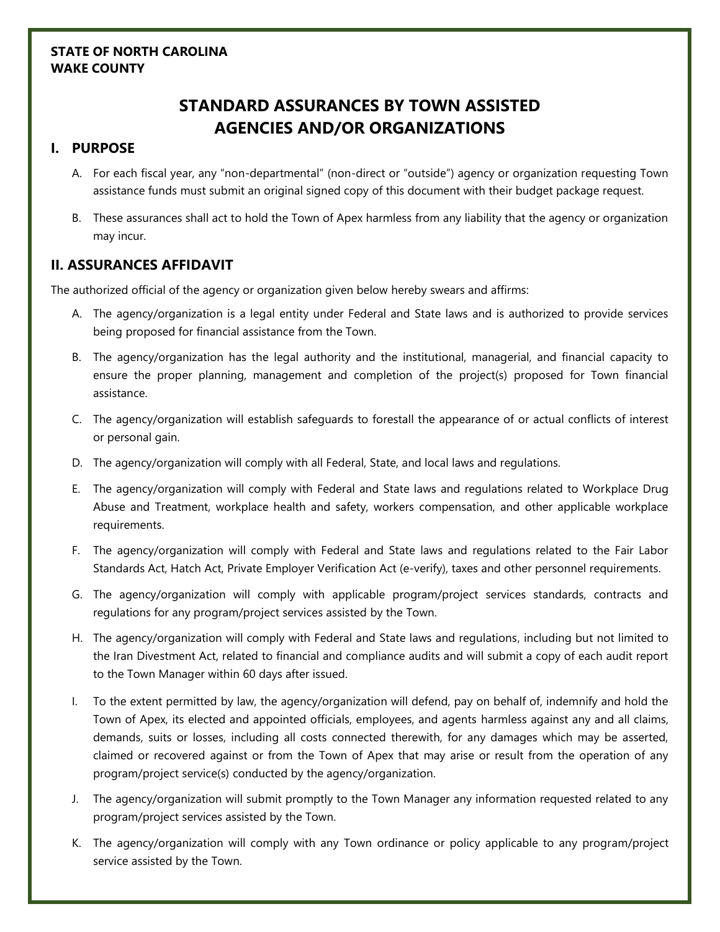## **STATE OF NORTH CAROLINA WAKE COUNTY**

# **STANDARD ASSURANCES BY TOWN ASSISTED AGENCIES AND/OR ORGANIZATIONS**

### **I. PURPOSE**

- A. For each fiscal year, any "non-departmental" (non-direct or "outside") agency or organization requesting Town assistance funds must submit an original signed copy of this document with their budget package request.
- B. These assurances shall act to hold the Town of Apex harmless from any liability that the agency or organization may incur.

## **II. ASSURANCES AFFIDAVIT**

The authorized official of the agency or organization given below hereby swears and affirms:

- A. The agency/organization is a legal entity under Federal and State laws and is authorized to provide services being proposed for financial assistance from the Town.
- B. The agency/organization has the legal authority and the institutional, managerial, and financial capacity to ensure the proper planning, management and completion of the project(s) proposed for Town financial assistance.
- C. The agency/organization will establish safeguards to forestall the appearance of or actual conflicts of interest or personal gain.
- D. The agency/organization will comply with all Federal, State, and local laws and regulations.
- E. The agency/organization will comply with Federal and State laws and regulations related to Workplace Drug Abuse and Treatment, workplace health and safety, workers compensation, and other applicable workplace requirements.
- F. The agency/organization will comply with Federal and State laws and regulations related to the Fair Labor Standards Act, Hatch Act, Private Employer Verification Act (e-verify), taxes and other personnel requirements.
- G. The agency/organization will comply with applicable program/project services standards, contracts and regulations for any program/project services assisted by the Town.
- H. The agency/organization will comply with Federal and State laws and regulations, including but not limited to the Iran Divestment Act, related to financial and compliance audits and will submit a copy of each audit report to the Town Manager within 60 days after issued.
- I. To the extent permitted by law, the agency/organization will defend, pay on behalf of, indemnify and hold the Town of Apex, its elected and appointed officials, employees, and agents harmless against any and all claims, demands, suits or losses, including all costs connected therewith, for any damages which may be asserted, claimed or recovered against or from the Town of Apex that may arise or result from the operation of any program/project service(s) conducted by the agency/organization.
- J. The agency/organization will submit promptly to the Town Manager any information requested related to any program/project services assisted by the Town.
- K. The agency/organization will comply with any Town ordinance or policy applicable to any program/project service assisted by the Town.